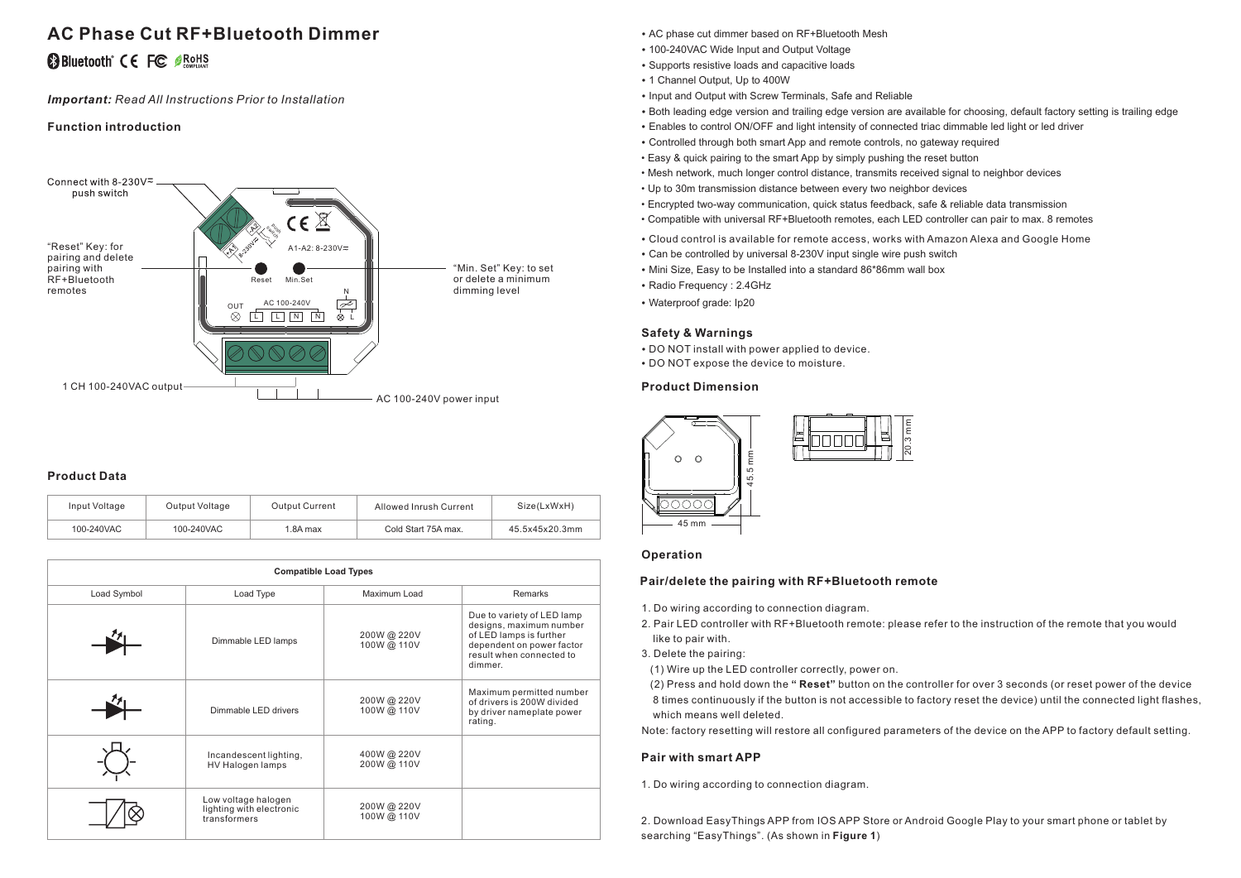# **AC Phase Cut RF+Bluetooth Dimmer**

## **@Bluetooth CE FC OROHS**

*Important: Read All Instructions Prior to Installation*

## **Function introduction**



## **Product Data**

| Input Voltage | Output Voltage | <b>Output Current</b> | Allowed Inrush Current | Size(LxWxH)    |
|---------------|----------------|-----------------------|------------------------|----------------|
| 100-240VAC    | 100-240VAC     | 1.8A max              | Cold Start 75A max.    | 45.5x45x20.3mm |

|             |                                                                 | <b>Compatible Load Types</b> |                                                                                                                                                      |
|-------------|-----------------------------------------------------------------|------------------------------|------------------------------------------------------------------------------------------------------------------------------------------------------|
| Load Symbol | Load Type                                                       | Maximum Load                 | Remarks                                                                                                                                              |
|             | Dimmable LED lamps                                              | 200W@220V<br>100W@ 110V      | Due to variety of LED lamp<br>designs, maximum number<br>of LED lamps is further<br>dependent on power factor<br>result when connected to<br>dimmer. |
|             | Dimmable LED drivers                                            | 200W@220V<br>100W @ 110V     | Maximum permitted number<br>of drivers is 200W divided<br>by driver nameplate power<br>rating.                                                       |
|             | Incandescent lighting,<br>HV Halogen lamps                      | 400W@220V<br>200W@ 110V      |                                                                                                                                                      |
|             | Low voltage halogen<br>lighting with electronic<br>transformers | 200W@220V<br>100W@ 110V      |                                                                                                                                                      |

- AC phase cut dimmer based on RF+Bluetooth Mesh
- 100-240VAC Wide Input and Output Voltage
- Supports resistive loads and capacitive loads
- 1 Channel Output, Up to 400W
- Input and Output with Screw Terminals, Safe and Reliable
- Both leading edge version and trailing edge version are available for choosing, default factory setting is trailing edge
- Enables to control ON/OFF and light intensity of connected triac dimmable led light or led driver
- Controlled through both smart App and remote controls, no gateway required
- Easy & quick pairing to the smart App by simply pushing the reset button
- Mesh network, much longer control distance, transmits received signal to neighbor devices
- Up to 30m transmission distance between every two neighbor devices
- Encrypted two-way communication, quick status feedback, safe & reliable data transmission
- Compatible with universal RF+Bluetooth remotes, each LED controller can pair to max. 8 remotes
- Cloud control is available for remote access, works with Amazon Alexa and Google Home
- Can be controlled by universal 8-230V input single wire push switch
- Mini Size, Easy to be Installed into a standard 86\*86mm wall box
- Radio Frequency : 2.4GHz
- Waterproof grade: Ip20

## **Safety & Warnings**

- DO NOT install with power applied to device.
- DO NOT expose the device to moisture.

## **Product Dimension**



## **Operation**

## **Pair/delete the pairing with RF+Bluetooth remote**

- 1. Do wiring according to connection diagram.
- 2. Pair LED controller with RF+Bluetooth remote: please refer to the instruction of the remote that you would like to pair with.
- 3. Delete the pairing:
- (1) Wire up the LED controller correctly, power on.

 (2) Press and hold down the **" Reset"** button on the controller for over 3 seconds (or reset power of the device 8 times continuously if the button is not accessible to factory reset the device) until the connected light flashes, which means well deleted.

Note: factory resetting will restore all configured parameters of the device on the APP to factory default setting.

## **Pair with smart APP**

1. Do wiring according to connection diagram.

2. Download EasyThings APP from IOS APP Store or Android Google Play to your smart phone or tablet by searching "EasyThings". (As shown in **Figure 1**)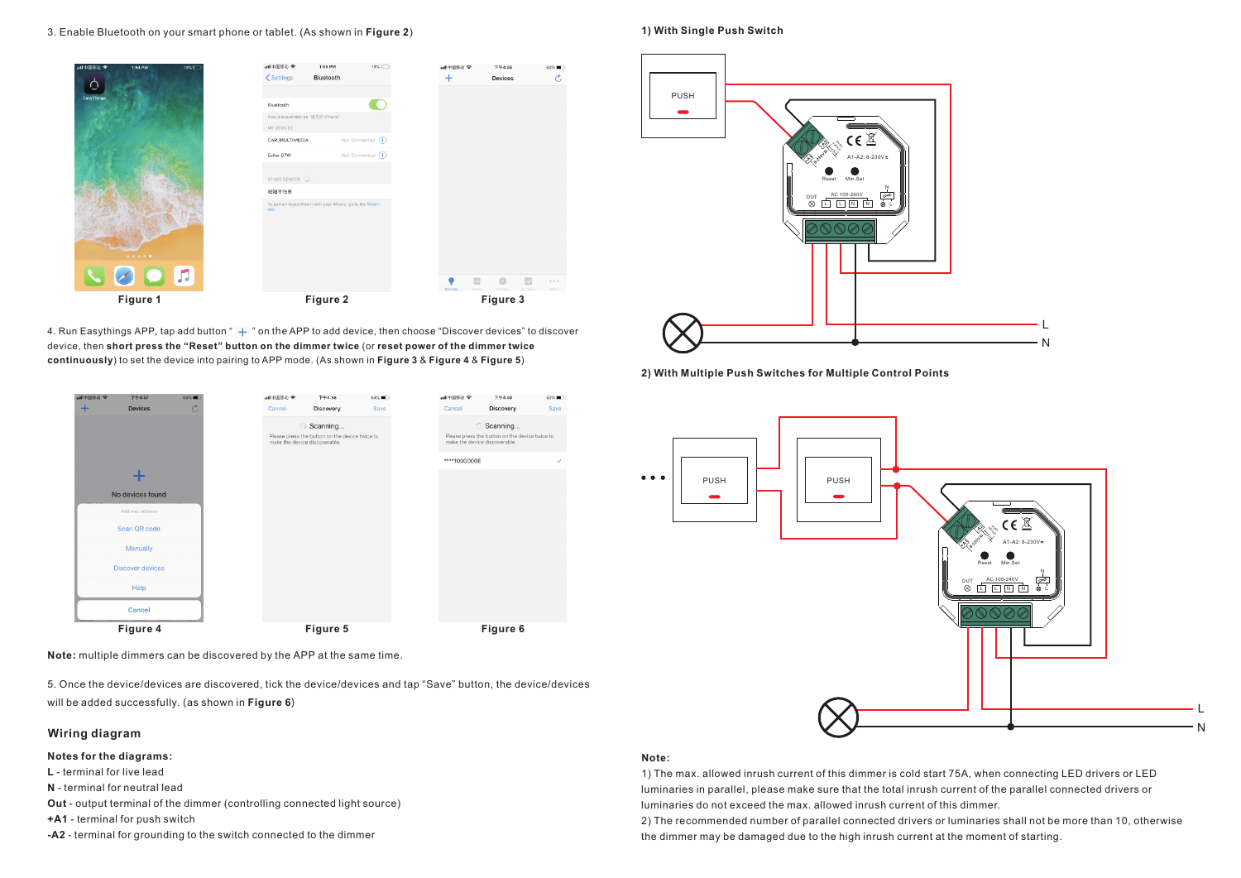#### 3. Enable Bluetooth on your smart phone or tablet. (As shown in **Figure 2**)



4. Run Easythings APP, tap add button "  $+$  " on the APP to add device, then choose "Discover devices" to discover device, then **short press the "Reset" button on the dimmer twice** (or **reset power of the dimmer twice continuously**) to set the device into pairing to APP mode. (As shown in **Figure 3** & **Figure 4** & **Figure 5**)

| all中国移动 全 | 下午4:57                  | 64% <b>m</b>   |
|-----------|-------------------------|----------------|
| $\ddot{}$ | <b>Devices</b>          | $\mathfrak{C}$ |
|           |                         |                |
|           |                         |                |
|           |                         |                |
|           |                         |                |
|           | No devices found        |                |
|           | Add mac address         |                |
|           | Scan QR code            |                |
|           | Manually                |                |
|           | <b>Discover devices</b> |                |
|           | Help                    |                |
|           | Cancel                  |                |
|           | Figure 4                |                |

**Note:** multiple dimmers can be discovered by the APP at the same time.

5. Once the device/devices are discovered, tick the device/devices and tap "Save" button, the device/devices will be added successfully. (as shown in **Figure 6**)

## **Wiring diagram**

#### **Notes for the diagrams:**

**L** - terminal for live lead

**N** - terminal for neutral lead

**Out** - output terminal of the dimmer (controlling connected light source)

**+A1** - terminal for push switch

**-A2** - terminal for grounding to the switch connected to the dimmer

#### **1) With Single Push Switch**



**2) With Multiple Push Switches for Multiple Control Points**



#### **Note:**

1) The max. allowed inrush current of this dimmer is cold start 75A, when connecting LED drivers or LED luminaries in parallel, please make sure that the total inrush current of the parallel connected drivers or . luminaries do not exceed the max. allowed inrush current of this dimmer

2) The recommended number of parallel connected drivers or luminaries shall not be more than 10, otherwise the dimmer may be damaged due to the high inrush current at the moment of starting.